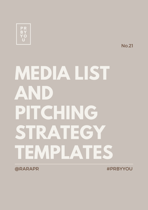

No.21

# **MEDIA LIST AND PITCHING STRATEGY TEMPLATES**

@RARAPR #PRBYYOU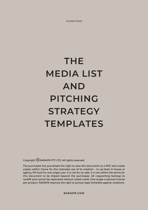**COVER PAGE**

# **THE MEDIA LIST AND PITCHING STRATEGY TEMPLATES**

Copyright  $\mathbb{C}$  RARAPR PTY LTD. All rights reserved.

The purchasee has purcahsed the right to save this document as a PDF and create copies within Canva for the intended use of its creation – to up-level in-house or agency PR tools for one single user. It is not for on-sale. It is not within the terms for this document to be shared beyond the purchasee. All copywriting belongs to raraPR and cannot be replicated without noted credit. One single customer license per product. RARAPR reserves the right to pursue legal remedies against violations.

**RARAPR.COM**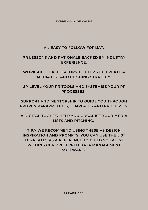**EXPRESSION OF VALUE**

## **AN EASY TO FOLLOW FORMAT.**

## **PR LESSONS AND RATIONALE BACKED BY INDUSTRY EXPERIENCE.**

**WORKSHEET FACILITATORS TO HELP YOU CREATE A MEDIA LIST AND PITCHING STRATEGY.**

**UP-LEVEL YOUR PR TOOLS AND SYSTEMISE YOUR PR PROCESSES.**

**SUPPORT AND MENTORSHIP TO GUIDE YOU THROUGH PROVEN RARAPR TOOLS, TEMPLATES AND PROCESSES.**

**A DIGITAL TOOL TO HELP YOU ORGANISE YOUR MEDIA LISTS AND PITCHING.**

**TIP// WE RECOMMEND USING THESE AS DESIGN INSPIRATION AND PROMPTS. YOU CAN USE THE LIST TEMPLATES AS A REFERENCE TO BUILD YOUR LIST WITHIN YOUR PREFERRED DATA MANAGEMENT SOFTWARE.**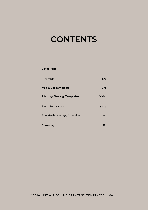# **CONTENTS**

| <b>Cover Page</b>                  |           |
|------------------------------------|-----------|
| Preamble                           | $2 - 5$   |
| <b>Media List Templates</b>        | $7 - 9$   |
| <b>Pitching Strategy Templates</b> | $10 - 14$ |
| <b>Pitch Facilitators</b>          | $15 - 19$ |
| The Media Strategy Checklist       | 36        |
| Summary                            | 37        |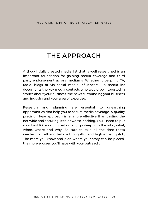## **THE APPROACH**

A thoughtfully created media list that is well researched is an important foundation for gaining media coverage and third party endorsement across mediums. Whether it be print, TV, radio, blogs or via social media influencers - a media list documents the key media contacts who would be interested in stories about your business, the news surrounding your business and industry and your area of expertise.

Research and planning are essential to unearthing opportunities that help you to secure media coverage. A quality precision type approach is far more effective than casting the net wide and securing little or worse, nothing. You'll need to put your best PR scouting hat on and go deep into the who, what, when, where and why. Be sure to take all the time that's needed to craft and tailor a thoughtful and high impact pitch. The more you know and plan where your story can be placed, the more success you'll have with your outreach.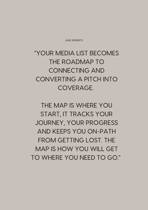JADE ROBERTS

"YOUR MEDIA LIST BECOMES THE ROADMAP TO CONNECTING AND CONVERTING A PITCH INTO COVERAGE.

THE MAP IS WHERE YOU START, IT TRACKS YOUR JOURNEY, YOUR PROGRESS AND KEEPS YOU ON-PATH FROM GETTING LOST. THE MAP IS HOW YOU WILL GET TO WHERE YOU NEED TO GO."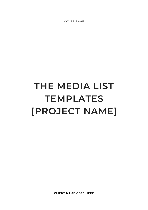**COVER PAGE**

# **THE MEDIA LIST TEMPLATES [PROJECT NAME]**

**CLIENT NAME GOES HERE**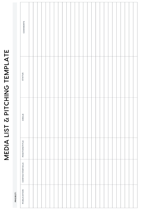# MEDIA LIST & PITCHING TEMPLATE MEDIA LIST & PITCHING TEMPLATE

| O  |  |
|----|--|
| ш  |  |
|    |  |
| n  |  |
| с  |  |
| o. |  |
|    |  |

| COMMENTS<br>STATUS |  |  |  |  |  |  |  |  |  |  |  |  |  |
|--------------------|--|--|--|--|--|--|--|--|--|--|--|--|--|
|                    |  |  |  |  |  |  |  |  |  |  |  |  |  |
| ANGLE              |  |  |  |  |  |  |  |  |  |  |  |  |  |
| POSITION/TITLE     |  |  |  |  |  |  |  |  |  |  |  |  |  |
| CONTACT/DETAILS    |  |  |  |  |  |  |  |  |  |  |  |  |  |
| PUBLICATION        |  |  |  |  |  |  |  |  |  |  |  |  |  |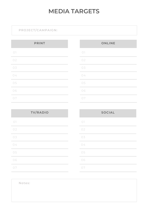## **MEDIA TARGETS**

**Contract Contract Contract** 

## **PROJECT/CAMPAIGN:**

| <b>PRINT</b> |  |  |  |  |  |
|--------------|--|--|--|--|--|
| $\bigcirc$   |  |  |  |  |  |
| 02           |  |  |  |  |  |
| 03           |  |  |  |  |  |
| 04           |  |  |  |  |  |
| 05           |  |  |  |  |  |
| 06           |  |  |  |  |  |
| 07           |  |  |  |  |  |

| <b>ONLINE</b> |  |  |  |  |  |  |
|---------------|--|--|--|--|--|--|
| $\bigcirc$    |  |  |  |  |  |  |
| 02            |  |  |  |  |  |  |
| 03            |  |  |  |  |  |  |
| 04            |  |  |  |  |  |  |
| 05            |  |  |  |  |  |  |
| 06            |  |  |  |  |  |  |
| 07            |  |  |  |  |  |  |

| <b>TV/RADIO</b> |        |
|-----------------|--------|
| $\bigcirc$      |        |
| 02              |        |
| 03              |        |
| 04              |        |
| 05              |        |
| 06              |        |
| 07              | $\sim$ |

|            | <b>SOCIAL</b> |  |
|------------|---------------|--|
| $\bigcirc$ |               |  |
| 02         |               |  |
| 03         |               |  |
| 04         |               |  |
| 05         |               |  |
| 06         |               |  |
| 07         |               |  |
|            |               |  |

**Notes:**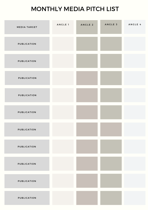## MONTHLY MEDIA PITCH LIST

| <b>MEDIA TARGET</b> | ANGLE 1 | ANGLE 2 | ANGLE 3 | ANGLE 4 |
|---------------------|---------|---------|---------|---------|
| <b>PUBLICATION</b>  |         |         |         |         |
| <b>PUBLICATION</b>  |         |         |         |         |
| <b>PUBLICATION</b>  |         |         |         |         |
| <b>PUBLICATION</b>  |         |         |         |         |
| <b>PUBLICATION</b>  |         |         |         |         |
| <b>PUBLICATION</b>  |         |         |         |         |
| <b>PUBLICATION</b>  |         |         |         |         |
| <b>PUBLICATION</b>  |         |         |         |         |
| <b>PUBLICATION</b>  |         |         |         |         |
| <b>PUBLICATION</b>  |         |         |         |         |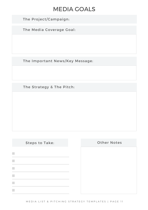## MEDIA GOALS

The Project/Campaign:

The Media Coverage Goal:

The Important News/Key Message:

The Strategy & The Pitch:

 $\Box$  $\blacksquare$  $\blacksquare$  $\overline{\phantom{a}}$ 

 $\mathcal{L}_{\mathcal{A}}$ 

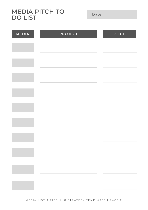**MEDIA PITCH TO DO LIST**

Date:

| MEDIA | <b>PROJECT</b>                                                                                                                            | $P$ <sup>T</sup> $C$ H |
|-------|-------------------------------------------------------------------------------------------------------------------------------------------|------------------------|
|       |                                                                                                                                           |                        |
|       |                                                                                                                                           |                        |
|       |                                                                                                                                           |                        |
|       |                                                                                                                                           |                        |
|       |                                                                                                                                           |                        |
|       |                                                                                                                                           |                        |
|       |                                                                                                                                           |                        |
|       |                                                                                                                                           |                        |
|       |                                                                                                                                           |                        |
|       | $\mathcal{L}(\mathcal{L}^{\mathcal{L}})$ and $\mathcal{L}^{\mathcal{L}}$ are the set of the set of the set of $\mathcal{L}^{\mathcal{L}}$ |                        |
|       |                                                                                                                                           |                        |
|       |                                                                                                                                           |                        |
|       |                                                                                                                                           |                        |
|       |                                                                                                                                           |                        |

M E D I A L I ST & P IT C H I N G STRATE G Y T E M P L A T E S | P A G E 11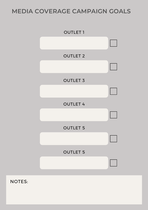## **MEDIA COVERAGE CAMPAIGN GOALS**



NOTES: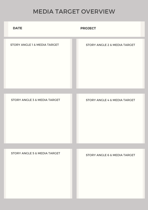## MEDIA TARGET OVERVIEW

| <b>DATE</b>                             | <b>PROJECT</b>                          |
|-----------------------------------------|-----------------------------------------|
| <b>STORY ANGLE 1 &amp; MEDIA TARGET</b> | <b>STORY ANGLE 2 &amp; MEDIA TARGET</b> |
|                                         |                                         |
| <b>STORY ANGLE 3 &amp; MEDIA TARGET</b> | <b>STORY ANGLE 4 &amp; MEDIA TARGET</b> |
|                                         |                                         |
| <b>STORY ANGLE 5 &amp; MEDIA TARGET</b> | <b>STORY ANGLE 6 &amp; MEDIA TARGET</b> |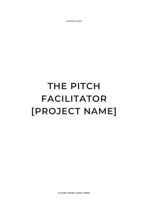**COVER PAGE**

# **THE PITCH FACILITATOR [PROJECT NAME]**

**CLIENT NAME GOES HERE**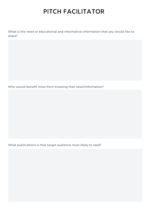# PITCH FACILITATOR

What is the news or educational and informative information that you would like to share?

Who would benefit most from knowing that news/information?

What publications is that target audience most likely to read?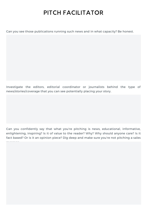## PITCH FACILITATOR

Can you see those publications running such news and in what capacity? Be honest.

Investigate the editors, editorial coordinator or journalists behind the type of news/stories/coverage that you can see potentially placing your story.

Can you confidently say that what you're pitching is news, educational, informative, enlightening, inspiring? Is it of value to the reader? Why? Why should anyone care? Is it fact based? Or is it an opinion piece? Dig deep and make sure you're not pitching a sales

message.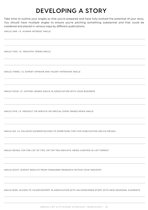# DEVELOPING A STORY

Take time to outline your angles so that you're prepared and have fully evolved the potential of your story. You should have multiple angles to ensure you're pitching something substantial and that could be cosidered and placed in various ways by different publications.

ANGLE ONE: I.E. HUMAN INTEREST ANGLE

ANGLE TWO: I.E. INDUSTRY TREND ANGLE

ANGLE THREE: I.E. EXPERT OPINION AND TALENT INTERVIEW ANGLE

ANGLE FOUR: I.E. HISTORY-BASED ANGLE IN ASSOCIATION WITH YOUR BUSINESS

ANGLE FIVE: I.E. PRODUCT OR SERVICE OR SPECIAL EVENT BASED NEWS ANGLE

ANGLE SIX: I.E. EXLUSIVE ELEMENT/ACCESS TO SOMETHING FOR THIS PUBLICATION ONLY/A REVEAL

ANGLE SEVEN: TOP TEN LIST OF TIPS, OR TOP TEN INSIGHTS, NEWS CURATED IN LIST FORMAT

ANGLE EIGHT: SURVEY RESULTS FROM CONSUMER RESEARCH WITHIN YOUR INDUSTRY

ANGLE NINE: ACCESS TO TALENT/EXPERT IN ASSOCIATION WITH AN EVERGREEN STORY WITH NEW SEASONAL ELEMENTS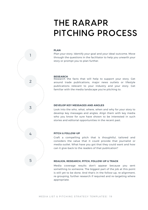# THE RARAPR PITCHING PROCESS

#### **PLAN**

Plan your story. Identify your goal and your ideal outcome. Move through the questions in the facilitator to help you unearth your story or prompt you to plan further.

#### **RESEARCH**

Research the facts that will help to support your story. Get around trade publications, major news outlets or lifestyle publications relevant to your industry and your story. Get familiar with the media landscape you're pitching to.

#### **DEVELOP KEY MESSAGES AND ANGLES**

Look into the who, what, where, when and why for your story to develop key messages and angles. Align them with key media who you know for sure have shown to be interested in such stories and editorial opportunities in the recent past.

### **PITCH & FOLLOW-UP**

Craft a compelling pitch that is thoughtful, tailored and considers the value that it could provide that journalist or media outlet. What have you got that they could want and how can it give-back to the readers of that publication?

#### **REALIGN, RESEARCH, PITCH, FOLLOW-UP & TRACK**

Media coverage results don't appear because you sent something to someone. The biggest part of the job at this point is still yet to be done. And that's in the follow-up, re-alignment, re-grouping, further research if required and re-targeting where appropriate.

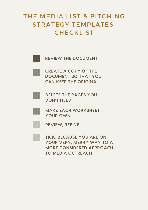# THE MEDIA LIST & PITCHING STRATEGY TEMPLATES **CHECKLIST**